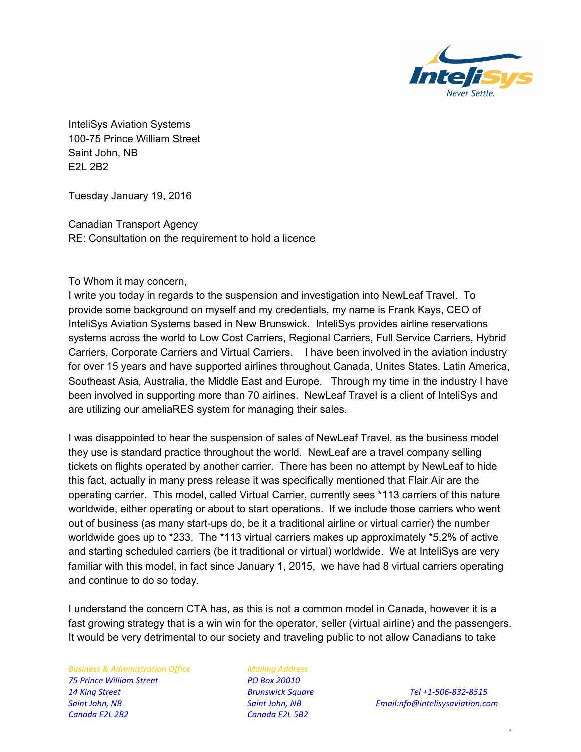

InteliSys Aviation Systems 100-75 Prince William Street Saint John, NB E2L 2B2

Tuesday January 19, 2016

Canadian Transport Agency RE: Consultation on the requirement to hold a licence

To Whom it may concern,

I write you today in regards to the suspension and investigation into NewLeaf Travel. To provide some background on myself and my credentials, my name is Frank Kays, CEO of InteliSys Aviation Systems based in New Brunswick. InteliSys provides airline reservations systems across the world to Low Cost Carriers, Regional Carriers, Full Service Carriers, Hybrid Carriers, Corporate Carriers and Virtual Carriers. I have been involved in the aviation industry for over 15 years and have supported airlines throughout Canada, Unites States, Latin America, Southeast Asia, Australia, the Middle East and Europe. Through my time in the industry I have been involved in supporting more than 70 airlines. NewLeaf Travel is a client of InteliSys and are utilizing our ameliaRES system for managing their sales.

I was disappointed to hear the suspension of sales of NewLeaf Travel, as the business model they use is standard practice throughout the world. NewLeaf are a travel company selling tickets on flights operated by another carrier. There has been no attempt by NewLeaf to hide this fact, actually in many press release it was specifically mentioned that Flair Air are the operating carrier. This model, called Virtual Carrier, currently sees \*113 carriers of this nature worldwide, either operating or about to start operations. If we include those carriers who went out of business (as many start-ups do, be it a traditional airline or virtual carrier) the number worldwide goes up to \*233. The \*113 virtual carriers makes up approximately \*5.2% of active and starting scheduled carriers (be it traditional or virtual) worldwide. We at InteliSys are very familiar with this model, in fact since January 1, 2015, we have had 8 virtual carriers operating and continue to do so today.

I understand the concern CTA has, as this is not a common model in Canada, however it is a fast growing strategy that is a win win for the operator, seller (virtual airline) and the passengers. It would be very detrimental to our society and traveling public to not allow Canadians to take

*Business & Administration Office Mailing Address 75 Prince William Street PO Box 20010 14 King Street Brunswick Square Tel +1‐506‐832‐8515 Canada E2L 2B2 Canada E2L 5B2*

*Saint John, NB Saint John, NB Email:nfo@intelisysaviation.com*

*.*